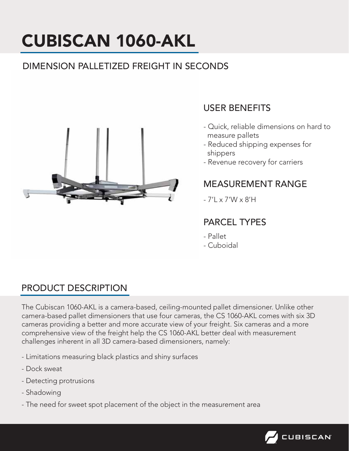# CUBISCAN 1060-AKL

## DIMENSION PALLETIZED FREIGHT IN SECONDS



## USER BENEFITS

- Quick, reliable dimensions on hard to measure pallets
- Reduced shipping expenses for shippers
- Revenue recovery for carriers

#### MEASUREMENT RANGE

- 7'L x 7'W x 8'H

### PARCEL TYPES

- Pallet
- Cuboidal

### PRODUCT DESCRIPTION

The Cubiscan 1060-AKL is a camera-based, ceiling-mounted pallet dimensioner. Unlike other camera-based pallet dimensioners that use four cameras, the CS 1060-AKL comes with six 3D cameras providing a better and more accurate view of your freight. Six cameras and a more comprehensive view of the freight help the CS 1060-AKL better deal with measurement challenges inherent in all 3D camera-based dimensioners, namely:

- Limitations measuring black plastics and shiny surfaces
- Dock sweat
- Detecting protrusions
- Shadowing
- The need for sweet spot placement of the object in the measurement area